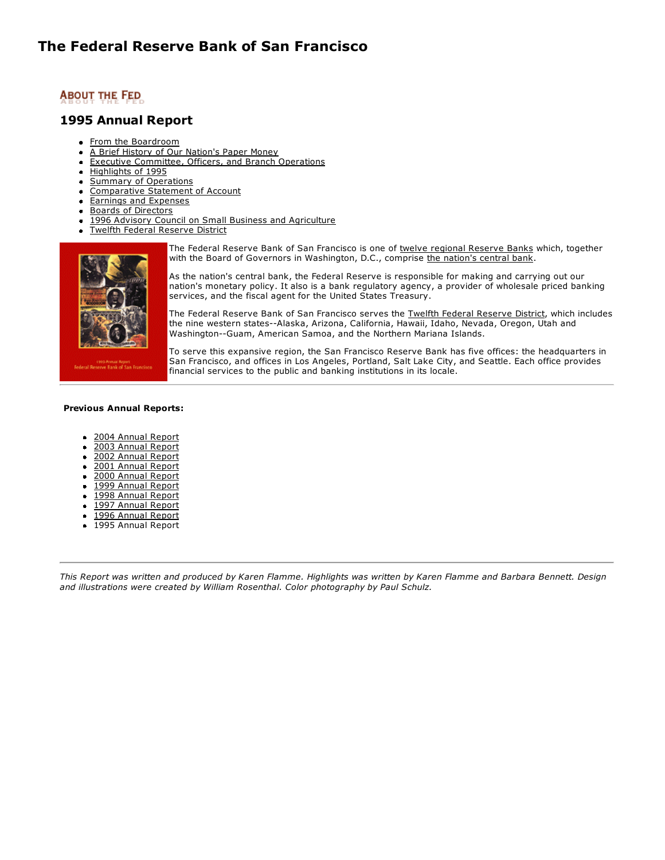#### **1995 Annual Report**

- [From the Boardroom](http://www.frbsf.org/publications/federalreserve/annual/1995/boardrm.html)
- [A Brief History of Our Nation's Paper Money](http://www.frbsf.org/publications/federalreserve/annual/1995/history.html)
- [Executive Committee, Officers, and Branch Operations](http://www.frbsf.org/publications/federalreserve/annual/1995/officers.html)  $\bullet$
- [Highlights of 1995](http://www.frbsf.org/publications/federalreserve/annual/1995/highlts.html)
- [Summary of Operations](http://www.frbsf.org/publications/federalreserve/annual/1995/summary.html)  $\bullet$
- [Comparative Statement of Account](http://www.frbsf.org/publications/federalreserve/annual/1995/comprtv.html)  $\bullet$
- [Earnings and Expenses](http://www.frbsf.org/publications/federalreserve/annual/1995/earnings.html)  $\bullet$
- [Boards of Directors](http://www.frbsf.org/publications/federalreserve/annual/1995/boards.html)  $\bullet$
- [1996 Advisory Council on Small Business and Agriculture](http://www.frbsf.org/publications/federalreserve/annual/1995/advisory.html)
- [Twelfth Federal Reserve District](http://www.frbsf.org/publications/federalreserve/annual/1995/12thdist.html)  $\bullet$



The Federal Reserve Bank of San Francisco is one of [twelve regional Reserve Banks](http://www.frbsf.org/publications/federalreserve/fedinbrief/organize.html) which, together with the Board of Governors in Washington, D.C., comprise [the nation's central bank](http://www.frbsf.org/publications/federalreserve/fedinbrief/central.html).

As the nation's central bank, the Federal Reserve is responsible for making and carrying out our nation's monetary policy. It also is a bank regulatory agency, a provider of wholesale priced banking services, and the fiscal agent for the United States Treasury.

The Federal Reserve Bank of San Francisco serves the [Twelfth Federal Reserve District,](http://www.frbsf.org/publications/federalreserve/fedinbrief/keyfacts.html) which includes the nine western states--Alaska, Arizona, California, Hawaii, Idaho, Nevada, Oregon, Utah and Washington--Guam, American Samoa, and the Northern Mariana Islands.

To serve this expansive region, the San Francisco Reserve Bank has five offices: the headquarters in San Francisco, and offices in Los Angeles, Portland, Salt Lake City, and Seattle. Each office provides financial services to the public and banking institutions in its locale.

#### **Previous Annual Reports:**

- [2004 Annual Report](http://www.frbsf.org/publications/federalreserve/annual/index.html)
- [2003 Annual Report](http://www.frbsf.org/publications/federalreserve/annual/2003/index.html)
- [2002 Annual Report](http://www.frbsf.org/publications/federalreserve/annual/2002/index.html)  $\bullet$
- [2001 Annual Report](http://www.frbsf.org/publications/federalreserve/annual/2001/index.html)  $\bullet$
- $\bullet$ [2000 Annual Report](http://www.frbsf.org/publications/federalreserve/annual/2000/index.html)
- [1999 Annual Report](http://www.frbsf.org/publications/federalreserve/annual/1999/index.html)  $\bullet$
- [1998 Annual Report](http://www.frbsf.org/publications/federalreserve/annual/1998/index.html)  $\bullet$
- [1997 Annual Report](http://www.frbsf.org/publications/federalreserve/annual/1997/index.html)  $\bullet$
- [1996 Annual Report](http://www.frbsf.org/publications/federalreserve/annual/1996/index.html)  $\bullet$
- 1995 Annual Report

*This Report was written and produced by Karen Flamme. Highlights was written by Karen Flamme and Barbara Bennett. Design and illustrations were created by William Rosenthal. Color photography by Paul Schulz.*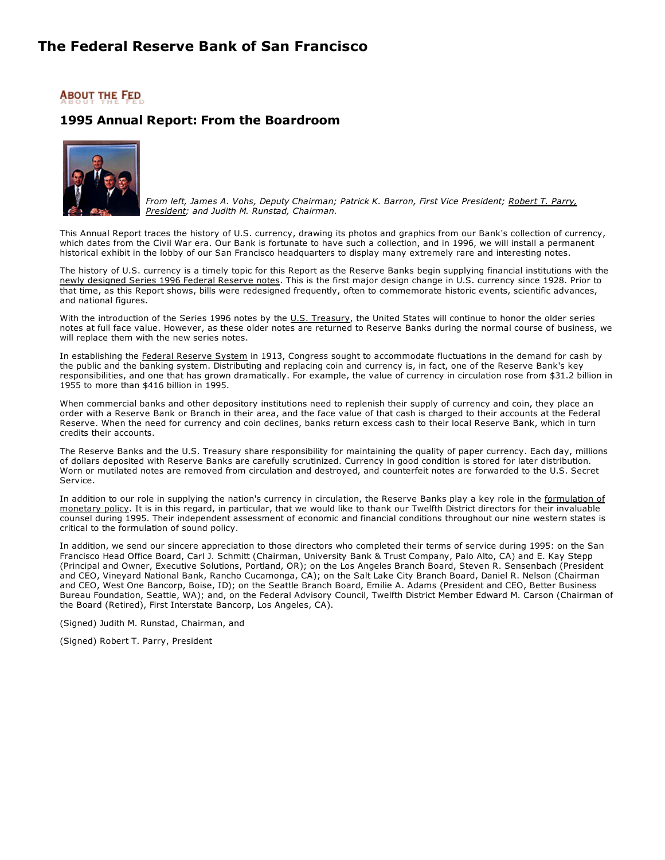### **ABOUT THE FED**

### **1995 Annual Report: From the Boardroom**



*[From left, James A. Vohs, Deputy Chairman; Patrick K. Barron, First Vice President; Robert T. Parry,](http://www.frbsf.org/federalreserve/people/officers/parry.html) President; and Judith M. Runstad, Chairman.*

This Annual Report traces the history of U.S. currency, drawing its photos and graphics from our Bank's collection of currency, which dates from the Civil War era. Our Bank is fortunate to have such a collection, and in 1996, we will install a permanent historical exhibit in the lobby of our San Francisco headquarters to display many extremely rare and interesting notes.

The history of U.S. currency is a timely topic for this Report as the Reserve Banks begin supplying financial institutions with the [newly designed Series 1996 Federal Reserve notes.](http://woodrow.mpls.frb.fed.us/money/newcurr/newcurr.html) This is the first major design change in U.S. currency since 1928. Prior to that time, as this Report shows, bills were redesigned frequently, often to commemorate historic events, scientific advances, and national figures.

With the introduction of the Series 1996 notes by the [U.S. Treasury](http://www.ustreas.gov/), the United States will continue to honor the older series notes at full face value. However, as these older notes are returned to Reserve Banks during the normal course of business, we will replace them with the new series notes.

In establishing the [Federal Reserve System](http://www.federalreserve.gov/pubs/frseries/frseri.htm) in 1913, Congress sought to accommodate fluctuations in the demand for cash by the public and the banking system. Distributing and replacing coin and currency is, in fact, one of the Reserve Bank's key responsibilities, and one that has grown dramatically. For example, the value of currency in circulation rose from \$31.2 billion in 1955 to more than \$416 billion in 1995.

When commercial banks and other depository institutions need to replenish their supply of currency and coin, they place an order with a Reserve Bank or Branch in their area, and the face value of that cash is charged to their accounts at the Federal Reserve. When the need for currency and coin declines, banks return excess cash to their local Reserve Bank, which in turn credits their accounts.

The Reserve Banks and the U.S. Treasury share responsibility for maintaining the quality of paper currency. Each day, millions of dollars deposited with Reserve Banks are carefully scrutinized. Currency in good condition is stored for later distribution. Worn or mutilated notes are removed from circulation and destroyed, and counterfeit notes are forwarded to the U.S. Secret Service.

[In addition to our role in supplying the nation's currency in circulation, the Reserve Banks play a key role in the formulation of](http://www.frbsf.org/publications/federalreserve/monetary/index.html) monetary policy. It is in this regard, in particular, that we would like to thank our Twelfth District directors for their invaluable counsel during 1995. Their independent assessment of economic and financial conditions throughout our nine western states is critical to the formulation of sound policy.

In addition, we send our sincere appreciation to those directors who completed their terms of service during 1995: on the San Francisco Head Office Board, Carl J. Schmitt (Chairman, University Bank & Trust Company, Palo Alto, CA) and E. Kay Stepp (Principal and Owner, Executive Solutions, Portland, OR); on the Los Angeles Branch Board, Steven R. Sensenbach (President and CEO, Vineyard National Bank, Rancho Cucamonga, CA); on the Salt Lake City Branch Board, Daniel R. Nelson (Chairman and CEO, West One Bancorp, Boise, ID); on the Seattle Branch Board, Emilie A. Adams (President and CEO, Better Business Bureau Foundation, Seattle, WA); and, on the Federal Advisory Council, Twelfth District Member Edward M. Carson (Chairman of the Board (Retired), First Interstate Bancorp, Los Angeles, CA).

(Signed) Judith M. Runstad, Chairman, and

(Signed) Robert T. Parry, President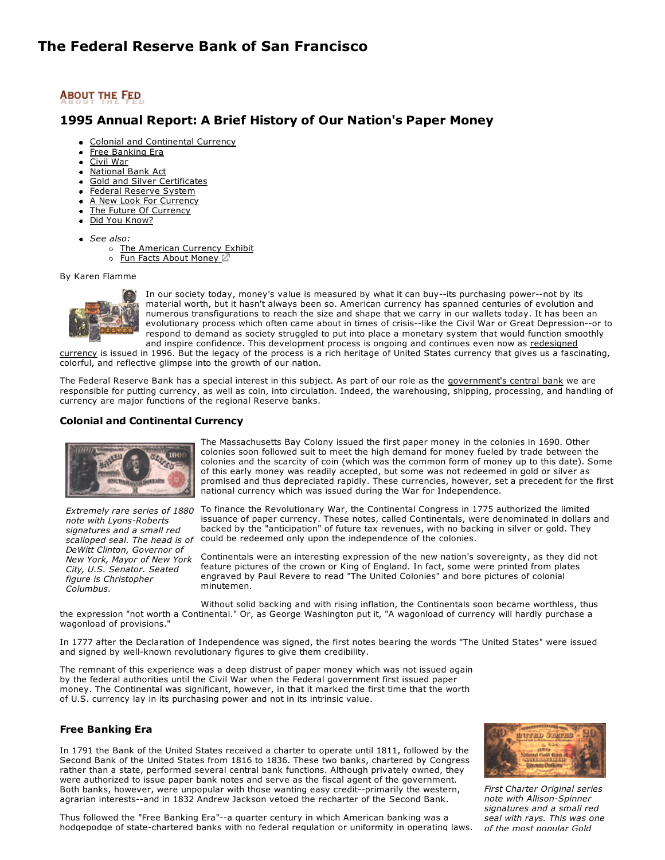### **1995 Annual Report: A Brief History of Our Nation's Paper Money**

- [Colonial and Continental Currency](http://www.frbsf.org/publications/federalreserve/annual/1995/history.html#A4)
- [Free Banking Era](http://www.frbsf.org/publications/federalreserve/annual/1995/history.html#A5)
- [Civil War](http://www.frbsf.org/publications/federalreserve/annual/1995/history.html#A6)
- [National Bank Act](http://www.frbsf.org/publications/federalreserve/annual/1995/history.html#A7)
- [Gold and Silver Certificates](http://www.frbsf.org/publications/federalreserve/annual/1995/history.html#A8)  $\bullet$
- [Federal Reserve System](http://www.frbsf.org/publications/federalreserve/annual/1995/history.html#A9)
- [A New Look For Currency](http://www.frbsf.org/publications/federalreserve/annual/1995/history.html#A10)  $\bullet$
- [The Future Of Currency](http://www.frbsf.org/publications/federalreserve/annual/1995/history.html#A11)  $\bullet$
- [Did You Know?](http://www.frbsf.org/publications/federalreserve/annual/1995/history.html#A13)
- *See also:*
	- o [The American Currency Exhibit](http://www.frbsf.org/currency/index.html)
	- o [Fun Facts About Money](http://www.moneyfactory.gov/newmoney/main.cfm/currency/history) Z

By Karen Flamme



In our society today, money's value is measured by what it can buy--its purchasing power--not by its material worth, but it hasn't always been so. American currency has spanned centuries of evolution and numerous transfigurations to reach the size and shape that we carry in our wallets today. It has been an evolutionary process which often came about in times of crisis--like the Civil War or Great Depression--or to respond to demand as society struggled to put into place a monetary system that would function smoothly and inspire confidence. This development process is ongoing and continues even now as redesigned

[currency is issued in 1996. But the legacy of the process is a rich heritage of United States currency that gives us a fasc](http://woodrow.mpls.frb.fed.us/money/newcurr/newcurr.html)inating, colorful, and reflective glimpse into the growth of our nation.

The Federal Reserve Bank has a special interest in this subject. As part of our role as the [government's central bank](http://www.frbsf.org/publications/federalreserve/fedinbrief/central.html) we are responsible for putting currency, as well as coin, into circulation. Indeed, the warehousing, shipping, processing, and handling of currency are major functions of the regional Reserve banks.

#### **Colonial and Continental Currency**



*Extremely rare series of 1880 note with Lyons-Roberts signatures and a small red scalloped seal. The head is of DeWitt Clinton, Governor of New York, Mayor of New York City, U.S. Senator. Seated figure is Christopher Columbus.*

The Massachusetts Bay Colony issued the first paper money in the colonies in 1690. Other colonies soon followed suit to meet the high demand for money fueled by trade between the colonies and the scarcity of coin (which was the common form of money up to this date). Some of this early money was readily accepted, but some was not redeemed in gold or silver as promised and thus depreciated rapidly. These currencies, however, set a precedent for the first national currency which was issued during the War for Independence.

To finance the Revolutionary War, the Continental Congress in 1775 authorized the limited issuance of paper currency. These notes, called Continentals, were denominated in dollars and backed by the "anticipation" of future tax revenues, with no backing in silver or gold. They could be redeemed only upon the independence of the colonies.

Continentals were an interesting expression of the new nation's sovereignty, as they did not feature pictures of the crown or King of England. In fact, some were printed from plates engraved by Paul Revere to read "The United Colonies" and bore pictures of colonial minutemen.

Without solid backing and with rising inflation, the Continentals soon became worthless, thus the expression "not worth a Continental." Or, as George Washington put it, "A wagonload of currency will hardly purchase a wagonload of provisions."

In 1777 after the Declaration of Independence was signed, the first notes bearing the words "The United States" were issued and signed by well-known revolutionary figures to give them credibility.

The remnant of this experience was a deep distrust of paper money which was not issued again by the federal authorities until the Civil War when the Federal government first issued paper money. The Continental was significant, however, in that it marked the first time that the worth of U.S. currency lay in its purchasing power and not in its intrinsic value.

#### **Free Banking Era**

In 1791 the Bank of the United States received a charter to operate until 1811, followed by the Second Bank of the United States from 1816 to 1836. These two banks, chartered by Congress rather than a state, performed several central bank functions. Although privately owned, they were authorized to issue paper bank notes and serve as the fiscal agent of the government. Both banks, however, were unpopular with those wanting easy credit--primarily the western, agrarian interests--and in 1832 Andrew Jackson vetoed the recharter of the Second Bank.

Thus followed the "Free Banking Era"--a quarter century in which American banking was a hodgepodge of state-chartered banks with no federal regulation or uniformity in operating laws.



*First Charter Original series note with Allison-Spinner signatures and a small red seal with rays. This was one of the most popular Gold*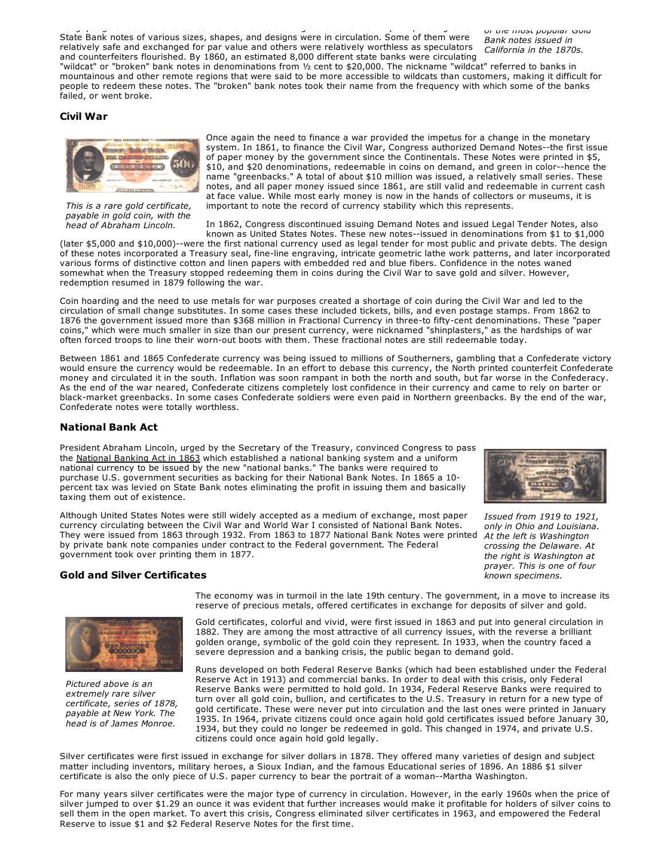*of the most popular Gold Bank notes issued in California in the 1870s.* hodgepodge of statechartered banks with no federal regulation or uniformity in operating laws. State Bank notes of various sizes, shapes, and designs were in circulation. Some of them were relatively safe and exchanged for par value and others were relatively worthless as speculators and counterfeiters flourished. By 1860, an estimated 8,000 different state banks were circulating "wildcat" or "broken" bank notes in denominations from ½ cent to \$20,000. The nickname "wildcat" referred to banks in mountainous and other remote regions that were said to be more accessible to wildcats than customers, making it difficult for people to redeem these notes. The "broken" bank notes took their name from the frequency with which some of the banks failed, or went broke.

#### **Civil War**



*This is a rare gold certificate, payable in gold coin, with the head of Abraham Lincoln.*

Once again the need to finance a war provided the impetus for a change in the monetary system. In 1861, to finance the Civil War, Congress authorized Demand Notes--the first issue of paper money by the government since the Continentals. These Notes were printed in \$5, \$10, and \$20 denominations, redeemable in coins on demand, and green in color--hence the name "greenbacks." A total of about \$10 million was issued, a relatively small series. These notes, and all paper money issued since 1861, are still valid and redeemable in current cash at face value. While most early money is now in the hands of collectors or museums, it is important to note the record of currency stability which this represents.

In 1862, Congress discontinued issuing Demand Notes and issued Legal Tender Notes, also known as United States Notes. These new notes--issued in denominations from  $$1$  to  $$1,000$ 

(later \$5,000 and \$10,000)--were the first national currency used as legal tender for most public and private debts. The design of these notes incorporated a Treasury seal, fine-line engraving, intricate geometric lathe work patterns, and later incorporated various forms of distinctive cotton and linen papers with embedded red and blue fibers. Confidence in the notes waned somewhat when the Treasury stopped redeeming them in coins during the Civil War to save gold and silver. However, redemption resumed in 1879 following the war.

Coin hoarding and the need to use metals for war purposes created a shortage of coin during the Civil War and led to the circulation of small change substitutes. In some cases these included tickets, bills, and even postage stamps. From 1862 to 1876 the government issued more than \$368 million in Fractional Currency in three-to fifty-cent denominations. These "paper coins," which were much smaller in size than our present currency, were nicknamed "shinplasters," as the hardships of war often forced troops to line their worn-out boots with them. These fractional notes are still redeemable today.

Between 1861 and 1865 Confederate currency was being issued to millions of Southerners, gambling that a Confederate victory would ensure the currency would be redeemable. In an effort to debase this currency, the North printed counterfeit Confederate money and circulated it in the south. Inflation was soon rampant in both the north and south, but far worse in the Confederacy. As the end of the war neared, Confederate citizens completely lost confidence in their currency and came to rely on barter or black-market greenbacks. In some cases Confederate soldiers were even paid in Northern greenbacks. By the end of the war, Confederate notes were totally worthless.

#### **National Bank Act**

President Abraham Lincoln, urged by the Secretary of the Treasury, convinced Congress to pass the [National](http://www.occ.treas.gov/when.htm) Banking Act in 1863 which established a national banking system and a uniform national currency to be issued by the new "national banks." The banks were required to purchase U.S. government securities as backing for their National Bank Notes. In 1865 a 10 percent tax was levied on State Bank notes eliminating the profit in issuing them and basically taxing them out of existence.

Although United States Notes were still widely accepted as a medium of exchange, most paper currency circulating between the Civil War and World War I consisted of National Bank Notes. They were issued from 1863 through 1932. From 1863 to 1877 National Bank Notes were printed by private bank note companies under contract to the Federal government. The Federal government took over printing them in 1877.

#### **Gold and Silver Certificates**



*Issued from 1919 to 1921, only in Ohio and Louisiana. At the left is Washington crossing the Delaware. At the right is Washington at prayer. This is one of four known specimens.*



*Pictured above is an extremely rare silver certificate, series of 1878, payable at New York. The head is of James Monroe.*

The economy was in turmoil in the late 19th century. The government, in a move to increase its reserve of precious metals, offered certificates in exchange for deposits of silver and gold.

Gold certificates, colorful and vivid, were first issued in 1863 and put into general circulation in 1882. They are among the most attractive of all currency issues, with the reverse a brilliant golden orange, symbolic of the gold coin they represent. In 1933, when the country faced a severe depression and a banking crisis, the public began to demand gold.

Runs developed on both Federal Reserve Banks (which had been established under the Federal Reserve Act in 1913) and commercial banks. In order to deal with this crisis, only Federal Reserve Banks were permitted to hold gold. In 1934, Federal Reserve Banks were required to turn over all gold coin, bullion, and certificates to the U.S. Treasury in return for a new type of gold certificate. These were never put into circulation and the last ones were printed in January 1935. In 1964, private citizens could once again hold gold certificates issued before January 30, 1934, but they could no longer be redeemed in gold. This changed in 1974, and private U.S. citizens could once again hold gold legally.

Silver certificates were first issued in exchange for silver dollars in 1878. They offered many varieties of design and subject matter including inventors, military heroes, a Sioux Indian, and the famous Educational series of 1896. An 1886 \$1 silver certificate is also the only piece of U.S. paper currency to bear the portrait of a woman--Martha Washington.

For many years silver certificates were the major type of currency in circulation. However, in the early 1960s when the price of silver jumped to over \$1.29 an ounce it was evident that further increases would make it profitable for holders of silver coins to sell them in the open market. To avert this crisis, Congress eliminated silver certificates in 1963, and empowered the Federal Reserve to issue \$1 and \$2 Federal Reserve Notes for the first time.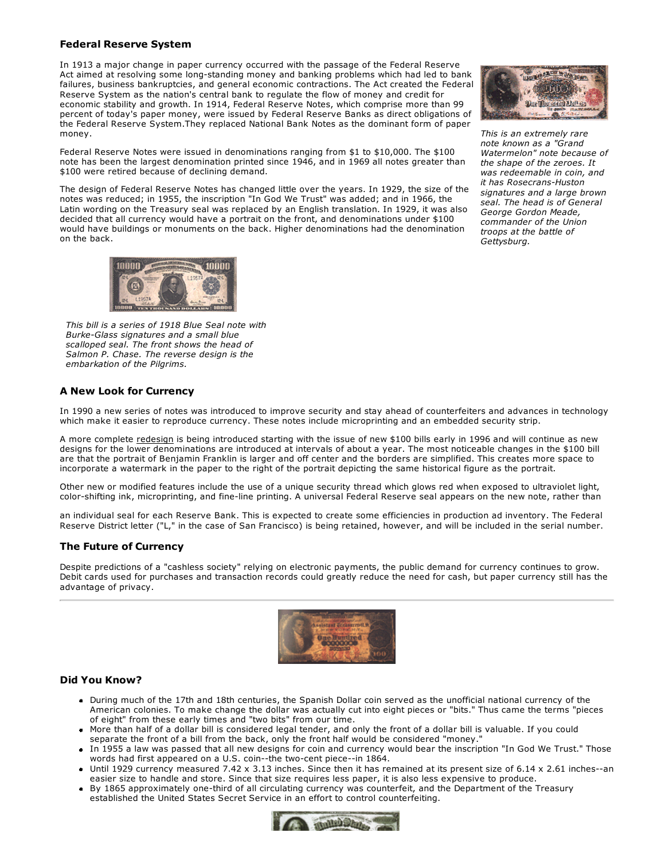#### **Federal Reserve System**

In 1913 a major change in paper currency occurred with the passage of the Federal Reserve Act aimed at resolving some long-standing money and banking problems which had led to bank failures, business bankruptcies, and general economic contractions. The Act created the Federal Reserve System as the nation's central bank to regulate the flow of money and credit for economic stability and growth. In 1914, Federal Reserve Notes, which comprise more than 99 percent of today's paper money, were issued by Federal Reserve Banks as direct obligations of the Federal Reserve System.They replaced National Bank Notes as the dominant form of paper money.

Federal Reserve Notes were issued in denominations ranging from \$1 to \$10,000. The \$100 note has been the largest denomination printed since 1946, and in 1969 all notes greater than \$100 were retired because of declining demand.

The design of Federal Reserve Notes has changed little over the years. In 1929, the size of the notes was reduced; in 1955, the inscription "In God We Trust" was added; and in 1966, the Latin wording on the Treasury seal was replaced by an English translation. In 1929, it was also decided that all currency would have a portrait on the front, and denominations under \$100 would have buildings or monuments on the back. Higher denominations had the denomination on the back.



*This is an extremely rare note known as a "Grand Watermelon" note because of the shape of the zeroes. It was redeemable in coin, and it has Rosecrans-Huston signatures and a large brown seal. The head is of General George Gordon Meade, commander of the Union troops at the battle of Gettysburg.*



*This bill is a series of 1918 Blue Seal note with BurkeGlass signatures and a small blue scalloped seal. The front shows the head of Salmon P. Chase. The reverse design is the embarkation of the Pilgrims.*

#### **A New Look for Currency**

In 1990 a new series of notes was introduced to improve security and stay ahead of counterfeiters and advances in technology which make it easier to reproduce currency. These notes include microprinting and an embedded security strip.

A more complete [redesign](http://www.moneyfactory.gov/newmoney/main.cfm/currency/aboutNotes) is being introduced starting with the issue of new \$100 bills early in 1996 and will continue as new designs for the lower denominations are introduced at intervals of about a year. The most noticeable changes in the \$100 bill are that the portrait of Benjamin Franklin is larger and off center and the borders are simplified. This creates more space to incorporate a watermark in the paper to the right of the portrait depicting the same historical figure as the portrait.

Other new or modified features include the use of a unique security thread which glows red when exposed to ultraviolet light, color-shifting ink, microprinting, and fine-line printing. A universal Federal Reserve seal appears on the new note, rather than

an individual seal for each Reserve Bank. This is expected to create some efficiencies in production ad inventory. The Federal Reserve District letter ("L," in the case of San Francisco) is being retained, however, and will be included in the serial number.

#### **The Future of Currency**

Despite predictions of a "cashless society" relying on electronic payments, the public demand for currency continues to grow. Debit cards used for purchases and transaction records could greatly reduce the need for cash, but paper currency still has the advantage of privacy.



#### **Did You Know?**

- During much of the 17th and 18th centuries, the Spanish Dollar coin served as the unofficial national currency of the American colonies. To make change the dollar was actually cut into eight pieces or "bits." Thus came the terms "pieces of eight" from these early times and "two bits" from our time.
- More than half of a dollar bill is considered legal tender, and only the front of a dollar bill is valuable. If you could separate the front of a bill from the back, only the front half would be considered "money."
- In 1955 a law was passed that all new designs for coin and currency would bear the inscription "In God We Trust." Those words had first appeared on a U.S. coin--the two-cent piece--in 1864.
- $\bullet$  Until 1929 currency measured 7.42 x 3.13 inches. Since then it has remained at its present size of 6.14 x 2.61 inches--an easier size to handle and store. Since that size requires less paper, it is also less expensive to produce.
- By 1865 approximately one-third of all circulating currency was counterfeit, and the Department of the Treasury established the United States Secret Service in an effort to control counterfeiting.

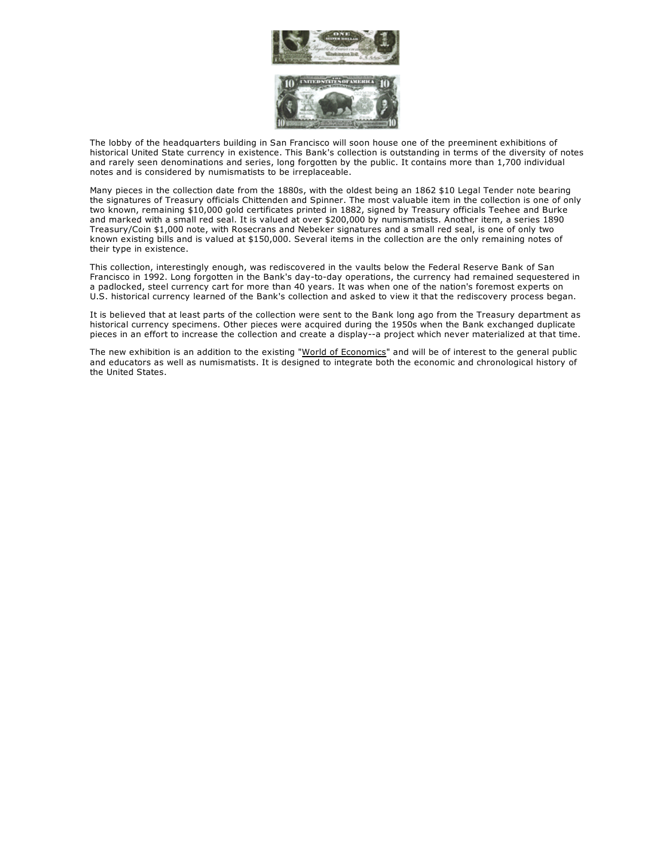

The lobby of the headquarters building in San Francisco will soon house one of the preeminent exhibitions of historical United State currency in existence. This Bank's collection is outstanding in terms of the diversity of notes and rarely seen denominations and series, long forgotten by the public. It contains more than 1,700 individual notes and is considered by numismatists to be irreplaceable.

Many pieces in the collection date from the 1880s, with the oldest being an 1862 \$10 Legal Tender note bearing the signatures of Treasury officials Chittenden and Spinner. The most valuable item in the collection is one of only two known, remaining \$10,000 gold certificates printed in 1882, signed by Treasury officials Teehee and Burke and marked with a small red seal. It is valued at over \$200,000 by numismatists. Another item, a series 1890 Treasury/Coin \$1,000 note, with Rosecrans and Nebeker signatures and a small red seal, is one of only two known existing bills and is valued at \$150,000. Several items in the collection are the only remaining notes of their type in existence.

This collection, interestingly enough, was rediscovered in the vaults below the Federal Reserve Bank of San Francisco in 1992. Long forgotten in the Bank's day-to-day operations, the currency had remained sequestered in a padlocked, steel currency cart for more than 40 years. It was when one of the nation's foremost experts on U.S. historical currency learned of the Bank's collection and asked to view it that the rediscovery process began.

It is believed that at least parts of the collection were sent to the Bank long ago from the Treasury department as historical currency specimens. Other pieces were acquired during the 1950s when the Bank exchanged duplicate pieces in an effort to increase the collection and create a display--a project which never materialized at that time.

The new exhibition is an addition to the existing "[World of Economics"](http://www.frbsf.org/federalreserve/visit/exhibit.html) and will be of interest to the general public and educators as well as numismatists. It is designed to integrate both the economic and chronological history of the United States.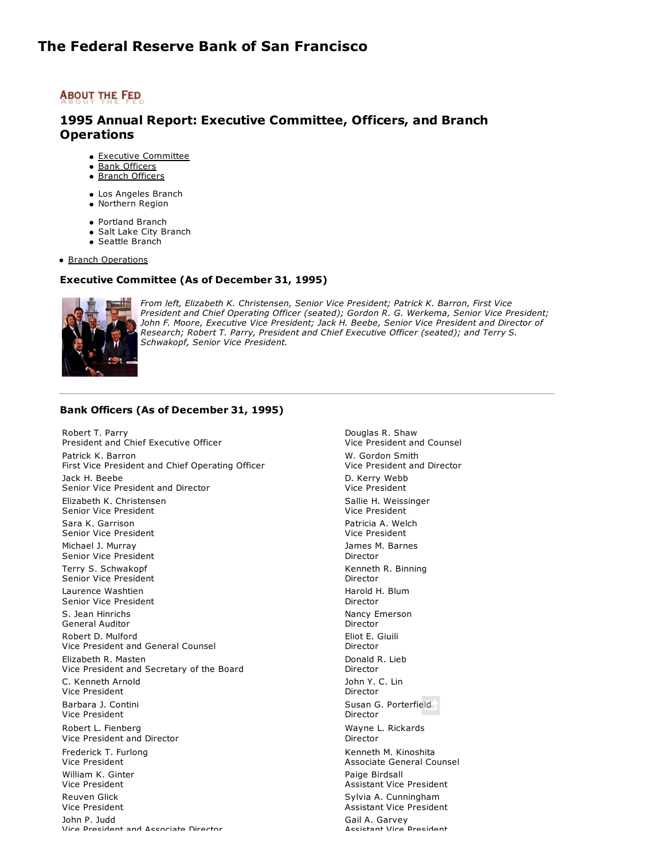### **ABOUT THE FED**

### **1995 Annual Report: Executive Committee, Officers, and Branch Operations**

- **Executive [Committee](http://www.frbsf.org/publications/federalreserve/annual/1995/officers.html#exec)**
- **Bank [Officers](http://www.frbsf.org/publications/federalreserve/annual/1995/officers.html#A16)**
- Branch [Officers](http://www.frbsf.org/publications/federalreserve/annual/1995/officers.html#A18)
- Los Angeles Branch
- Northern Region
- Portland Branch
- Salt Lake City Branch
- Seattle Branch

**Branch [Operations](http://www.frbsf.org/publications/federalreserve/annual/1995/officers.html#branchops)** 

#### **Executive Committee (As of December 31, 1995)**



*From left, Elizabeth K. Christensen, Senior Vice President; Patrick K. Barron, First Vice President and Chief Operating Officer (seated); Gordon R. G. Werkema, Senior Vice President; John F. Moore, Executive Vice President; Jack H. Beebe, Senior Vice President and Director of Research; Robert T. Parry, President and Chief Executive Officer (seated); and Terry S. Schwakopf, Senior Vice President.*

#### **Bank Officers (As of December 31, 1995)**

Robert T. Parry President and Chief Executive Officer Patrick K. Barron First Vice President and Chief Operating Officer Jack H. Beebe Senior Vice President and Director Elizabeth K. Christensen Senior Vice President Sara K. Garrison Senior Vice President Michael J. Murray Senior Vice President Terry S. Schwakopf Senior Vice President Laurence Washtien Senior Vice President S. Jean Hinrichs General Auditor Robert D. Mulford Vice President and General Counsel Elizabeth R. Masten Vice President and Secretary of the Board C. Kenneth Arnold Vice President Barbara J. Contini Vice President Robert L. Fienberg Vice President and Director Frederick T. Furlong Vice President William K. Ginter Vice President Reuven Glick Vice President John P. Judd Vice President and Associate Director

Douglas R. Shaw Vice President and Counsel W. Gordon Smith Vice President and Director D. Kerry Webb Vice President Sallie H. Weissinger Vice President Patricia A. Welch Vice President James M. Barnes Director Kenneth R. Binning Director Harold H. Blum Director Nancy Emerson Director Eliot E. Giuili Director Donald R. Lieb Director John Y. C. Lin Director Susan G. Porterfield Director Wayne L. Rickards Director Kenneth M. Kinoshita Associate General Counsel Paige Birdsall Assistant Vice President Sylvia A. Cunningham Assistant Vice President Gail A. Garvey Accictant Vire Precident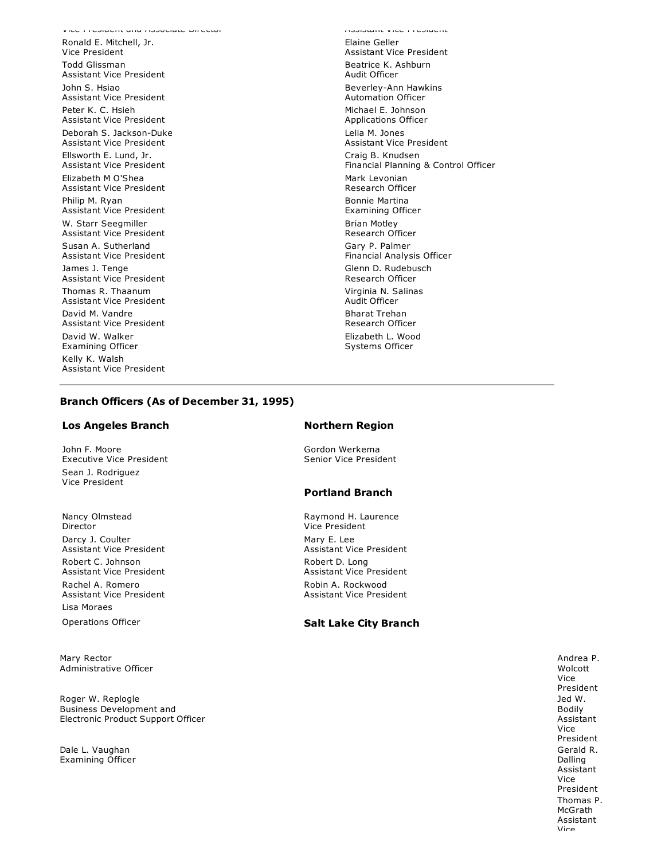Ronald E. Mitchell, Jr. Vice President Todd Glissman Assistant Vice President John S. Hsiao Assistant Vice President Peter K. C. Hsieh Assistant Vice President Deborah S. Jackson-Duke Assistant Vice President Ellsworth E. Lund, Jr. Assistant Vice President Elizabeth M O'Shea Assistant Vice President Philip M. Ryan Assistant Vice President W. Starr Seegmiller Assistant Vice President Susan A. Sutherland Assistant Vice President James J. Tenge Assistant Vice President Thomas R. Thaanum Assistant Vice President David M. Vandre Assistant Vice President David W. Walker Examining Officer Kelly K. Walsh Assistant Vice President

Vice President and Associate Director Assistant Vice President Elaine Geller Assistant Vice President Beatrice K. Ashburn Audit Officer Beverley-Ann Hawkins Automation Officer Michael E. Johnson Applications Officer Lelia M. Jones Assistant Vice President Craig B. Knudsen Financial Planning & Control Officer Mark Levonian Research Officer Bonnie Martina Examining Officer Brian Motley Research Officer Gary P. Palmer Financial Analysis Officer Glenn D. Rudebusch Research Officer Virginia N. Salinas Audit Officer Bharat Trehan Research Officer Elizabeth L. Wood Systems Officer

#### **Branch Officers (As of December 31, 1995)**

#### **Los Angeles Branch Northern Region**

John F. Moore Executive Vice President Sean J. Rodriguez Vice President

Nancy Olmstead Director Darcy J. Coulter Assistant Vice President Robert C. Johnson Assistant Vice President Rachel A. Romero Assistant Vice President Lisa Moraes

Mary Rector Administrative Officer

Roger W. Replogle Business Development and Electronic Product Support Officer

Dale L. Vaughan Examining Officer

Gordon Werkema Senior Vice President

#### **Portland Branch**

Raymond H. Laurence Vice President Mary E. Lee Assistant Vice President Robert D. Long Assistant Vice President Robin A. Rockwood Assistant Vice President

#### Operations Officer **Salt Lake City Branch**

Andrea P. Wolcott Vice President Jed W. Bodily Assistant Vice President Gerald R. Dalling Assistant Vice President Thomas P. McGrath Assistant Vice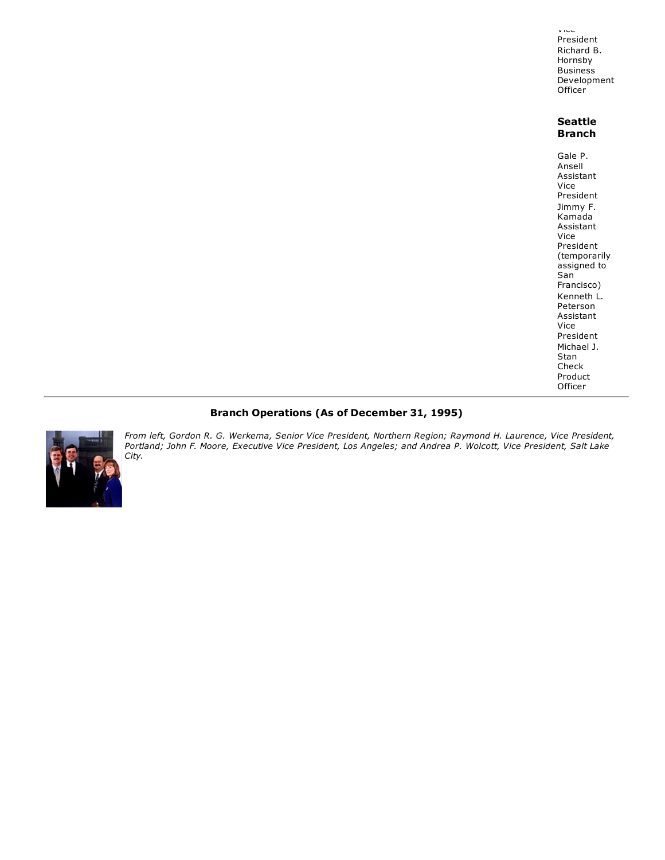Vice President Richard B. Hornsby **Business** Development Officer

#### **Seattle Branch**

Gale P. Ansell Assistant Vice President Jimmy F. Kamada Assistant Vice President (temporarily assigned to San Francisco) Kenneth L. Peterson Assistant Vice President Michael J. Stan Check Product Officer

#### **Branch Operations (As of December 31, 1995)**



*From left, Gordon R. G. Werkema, Senior Vice President, Northern Region; Raymond H. Laurence, Vice President, Portland; John F. Moore, Executive Vice President, Los Angeles; and Andrea P. Wolcott, Vice President, Salt Lake City.*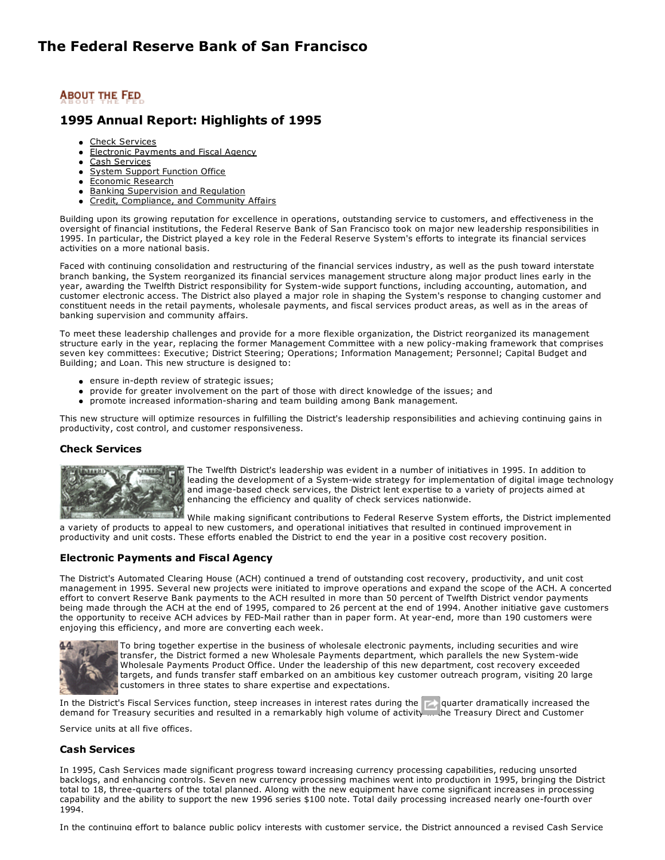### **1995 Annual Report: Highlights of 1995**

- **Check [Services](http://www.frbsf.org/publications/federalreserve/annual/1995/highlts.html#A21)**
- Electronic [Payments](http://www.frbsf.org/publications/federalreserve/annual/1995/highlts.html#A22) and Fiscal Agency  $\bullet$
- Cash [Services](http://www.frbsf.org/publications/federalreserve/annual/1995/highlts.html#A23)
- System Support [Function](http://www.frbsf.org/publications/federalreserve/annual/1995/highlts.html#A24) Office
- [Economic](http://www.frbsf.org/publications/federalreserve/annual/1995/highlts.html#A25) Research
- **Banking [Supervision](http://www.frbsf.org/publications/federalreserve/annual/1995/highlts.html#A26) and Regulation** Credit, [Compliance,](http://www.frbsf.org/publications/federalreserve/annual/1995/highlts.html#A27) and Community Affairs
- 

Building upon its growing reputation for excellence in operations, outstanding service to customers, and effectiveness in the oversight of financial institutions, the Federal Reserve Bank of San Francisco took on major new leadership responsibilities in 1995. In particular, the District played a key role in the Federal Reserve System's efforts to integrate its financial services activities on a more national basis.

Faced with continuing consolidation and restructuring of the financial services industry, as well as the push toward interstate branch banking, the System reorganized its financial services management structure along major product lines early in the year, awarding the Twelfth District responsibility for System-wide support functions, including accounting, automation, and customer electronic access. The District also played a major role in shaping the System's response to changing customer and constituent needs in the retail payments, wholesale payments, and fiscal services product areas, as well as in the areas of banking supervision and community affairs.

To meet these leadership challenges and provide for a more flexible organization, the District reorganized its management structure early in the year, replacing the former Management Committee with a new policy-making framework that comprises seven key committees: Executive; District Steering; Operations; Information Management; Personnel; Capital Budget and Building; and Loan. This new structure is designed to:

- ensure in-depth review of strategic issues;
- provide for greater involvement on the part of those with direct knowledge of the issues; and
- promote increased information-sharing and team building among Bank management.

This new structure will optimize resources in fulfilling the District's leadership responsibilities and achieving continuing gains in productivity, cost control, and customer responsiveness.

#### **Check Services**



The Twelfth District's leadership was evident in a number of initiatives in 1995. In addition to leading the development of a System-wide strategy for implementation of digital image technology and image-based check services, the District lent expertise to a variety of projects aimed at enhancing the efficiency and quality of check services nationwide.

While making significant contributions to Federal Reserve System efforts, the District implemented a variety of products to appeal to new customers, and operational initiatives that resulted in continued improvement in productivity and unit costs. These efforts enabled the District to end the year in a positive cost recovery position.

#### **Electronic Payments and Fiscal Agency**

The District's Automated Clearing House (ACH) continued a trend of outstanding cost recovery, productivity, and unit cost management in 1995. Several new projects were initiated to improve operations and expand the scope of the ACH. A concerted effort to convert Reserve Bank payments to the ACH resulted in more than 50 percent of Twelfth District vendor payments being made through the ACH at the end of 1995, compared to 26 percent at the end of 1994. Another initiative gave customers the opportunity to receive ACH advices by FED-Mail rather than in paper form. At year-end, more than 190 customers were enjoying this efficiency, and more are converting each week.



To bring together expertise in the business of wholesale electronic payments, including securities and wire transfer, the District formed a new Wholesale Payments department, which parallels the new System-wide Wholesale Payments Product Office. Under the leadership of this new department, cost recovery exceeded targets, and funds transfer staff embarked on an ambitious key customer outreach program, visiting 20 large customers in three states to share expertise and expectations.

In the District's Fiscal Services function, steep increases in interest rates during the **first quarter dramatically increased the** demand for Treasury securities and resulted in a remarkably high volume of activity ... the Treasury Direct and Customer

Service units at all five offices.

#### **Cash Services**

In 1995, Cash Services made significant progress toward increasing currency processing capabilities, reducing unsorted backlogs, and enhancing controls. Seven new currency processing machines went into production in 1995, bringing the District total to 18, three-quarters of the total planned. Along with the new equipment have come significant increases in processing capability and the ability to support the new 1996 series \$100 note. Total daily processing increased nearly onefourth over 1994.

In the continuing effort to balance public policy interests with customer service, the District announced a revised Cash Service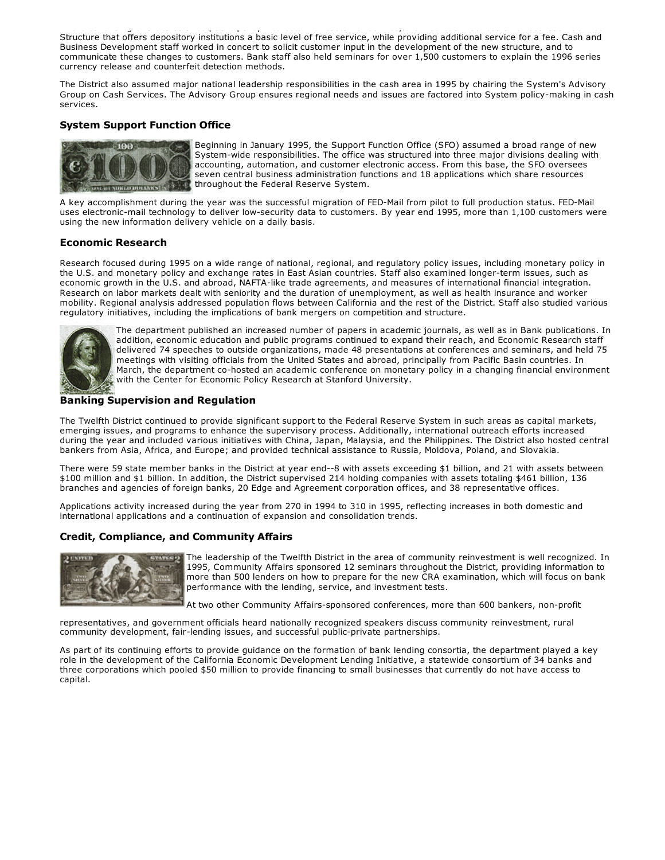In the continuing effort to balance public policy interests with customer service, the District announced a revised Cash Service Structure that offers depository institutions a basic level of free service, while providing additional service for a fee. Cash and Business Development staff worked in concert to solicit customer input in the development of the new structure, and to communicate these changes to customers. Bank staff also held seminars for over 1,500 customers to explain the 1996 series currency release and counterfeit detection methods.

The District also assumed major national leadership responsibilities in the cash area in 1995 by chairing the System's Advisory Group on Cash Services. The Advisory Group ensures regional needs and issues are factored into System policy-making in cash services.

#### **System Support Function Office**



Beginning in January 1995, the Support Function Office (SFO) assumed a broad range of new System-wide responsibilities. The office was structured into three major divisions dealing with accounting, automation, and customer electronic access. From this base, the SFO oversees seven central business administration functions and 18 applications which share resources throughout the Federal Reserve System.

A key accomplishment during the year was the successful migration of FED-Mail from pilot to full production status. FED-Mail uses electronic-mail technology to deliver low-security data to customers. By year end 1995, more than 1,100 customers were using the new information delivery vehicle on a daily basis.

#### **Economic Research**

Research focused during 1995 on a wide range of national, regional, and regulatory policy issues, including monetary policy in the U.S. and monetary policy and exchange rates in East Asian countries. Staff also examined longer-term issues, such as economic growth in the U.S. and abroad, NAFTA-like trade agreements, and measures of international financial integration. Research on labor markets dealt with seniority and the duration of unemployment, as well as health insurance and worker mobility. Regional analysis addressed population flows between California and the rest of the District. Staff also studied various regulatory initiatives, including the implications of bank mergers on competition and structure.



The department published an increased number of papers in academic journals, as well as in Bank publications. In addition, economic education and public programs continued to expand their reach, and Economic Research staff delivered 74 speeches to outside organizations, made 48 presentations at conferences and seminars, and held 75 meetings with visiting officials from the United States and abroad, principally from Pacific Basin countries. In March, the department co-hosted an academic conference on monetary policy in a changing financial environment with the Center for Economic Policy Research at Stanford University.

#### **Banking Supervision and Regulation**

The Twelfth District continued to provide significant support to the Federal Reserve System in such areas as capital markets, emerging issues, and programs to enhance the supervisory process. Additionally, international outreach efforts increased during the year and included various initiatives with China, Japan, Malaysia, and the Philippines. The District also hosted central bankers from Asia, Africa, and Europe; and provided technical assistance to Russia, Moldova, Poland, and Slovakia.

There were 59 state member banks in the District at year end--8 with assets exceeding \$1 billion, and 21 with assets between \$100 million and \$1 billion. In addition, the District supervised 214 holding companies with assets totaling \$461 billion, 136 branches and agencies of foreign banks, 20 Edge and Agreement corporation offices, and 38 representative offices.

Applications activity increased during the year from 270 in 1994 to 310 in 1995, reflecting increases in both domestic and international applications and a continuation of expansion and consolidation trends.

#### **Credit, Compliance, and Community Affairs**



The leadership of the Twelfth District in the area of community reinvestment is well recognized. In 1995, Community Affairs sponsored 12 seminars throughout the District, providing information to more than 500 lenders on how to prepare for the new CRA examination, which will focus on bank performance with the lending, service, and investment tests.

At two other Community Affairs-sponsored conferences, more than 600 bankers, non-profit

representatives, and government officials heard nationally recognized speakers discuss community reinvestment, rural community development, fair-lending issues, and successful public-private partnerships.

As part of its continuing efforts to provide guidance on the formation of bank lending consortia, the department played a key role in the development of the California Economic Development Lending Initiative, a statewide consortium of 34 banks and three corporations which pooled \$50 million to provide financing to small businesses that currently do not have access to capital.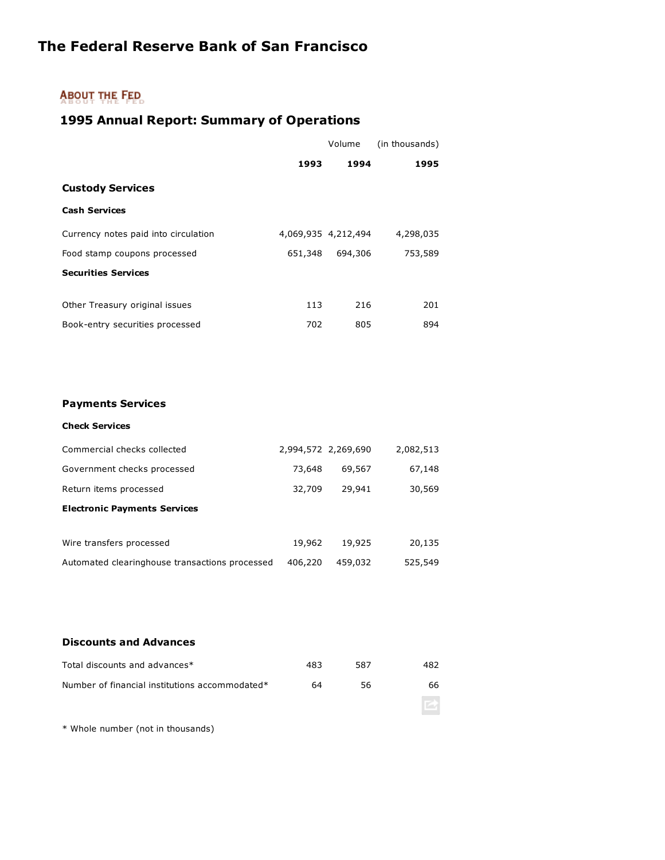### **ABOUT THE FED.**

### **1995 Annual Report: Summary of Operations**

|                                      |         | Volume              | (in thousands) |
|--------------------------------------|---------|---------------------|----------------|
|                                      | 1993    | 1994                | 1995           |
| <b>Custody Services</b>              |         |                     |                |
| <b>Cash Services</b>                 |         |                     |                |
| Currency notes paid into circulation |         | 4,069,935 4,212,494 | 4,298,035      |
| Food stamp coupons processed         | 651,348 | 694,306             | 753,589        |
| <b>Securities Services</b>           |         |                     |                |
|                                      |         |                     |                |
| Other Treasury original issues       | 113     | 216                 | 201            |
| Book-entry securities processed      | 702     | 805                 | 894            |

#### **Payments Services**

#### **Check Services**

| Commercial checks collected                    | 2,994,572 2,269,690 |         | 2,082,513 |
|------------------------------------------------|---------------------|---------|-----------|
| Government checks processed                    | 73,648              | 69,567  | 67,148    |
| Return items processed                         | 32,709              | 29,941  | 30,569    |
| <b>Electronic Payments Services</b>            |                     |         |           |
|                                                |                     |         |           |
| Wire transfers processed                       | 19,962              | 19,925  | 20,135    |
| Automated clearinghouse transactions processed | 406,220             | 459,032 | 525,549   |

#### **Discounts and Advances**

| Total discounts and advances*                  | 483 | 587 | 482 |
|------------------------------------------------|-----|-----|-----|
| Number of financial institutions accommodated* | 64  | 56. | 66  |
|                                                |     |     |     |

\* Whole number (not in thousands)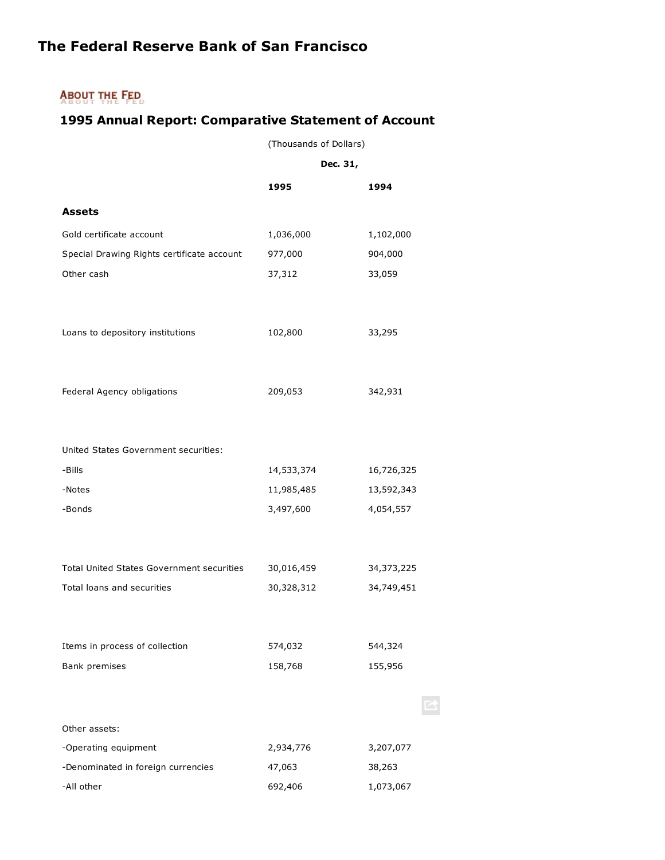### **ABOUT THE FED.**

### **1995 Annual Report: Comparative Statement of Account**

(Thousands of Dollars)

|                                                  | Dec. 31,   |              |
|--------------------------------------------------|------------|--------------|
|                                                  | 1995       | 1994         |
| <b>Assets</b>                                    |            |              |
| Gold certificate account                         | 1,036,000  | 1,102,000    |
| Special Drawing Rights certificate account       | 977,000    | 904,000      |
| Other cash                                       | 37,312     | 33,059       |
|                                                  |            |              |
| Loans to depository institutions                 | 102,800    | 33,295       |
|                                                  |            |              |
| Federal Agency obligations                       | 209,053    | 342,931      |
|                                                  |            |              |
| United States Government securities:             |            |              |
| -Bills                                           | 14,533,374 | 16,726,325   |
| -Notes                                           | 11,985,485 | 13,592,343   |
| -Bonds                                           | 3,497,600  | 4,054,557    |
|                                                  |            |              |
| <b>Total United States Government securities</b> | 30,016,459 | 34, 373, 225 |
| Total loans and securities                       | 30,328,312 | 34,749,451   |
|                                                  |            |              |
| Items in process of collection                   | 574,032    | 544,324      |
| Bank premises                                    | 158,768    | 155,956      |
|                                                  |            |              |
| Other assets:                                    |            |              |
| -Operating equipment                             | 2,934,776  | 3,207,077    |
| -Denominated in foreign currencies               | 47,063     | 38,263       |
| -All other                                       | 692,406    | 1,073,067    |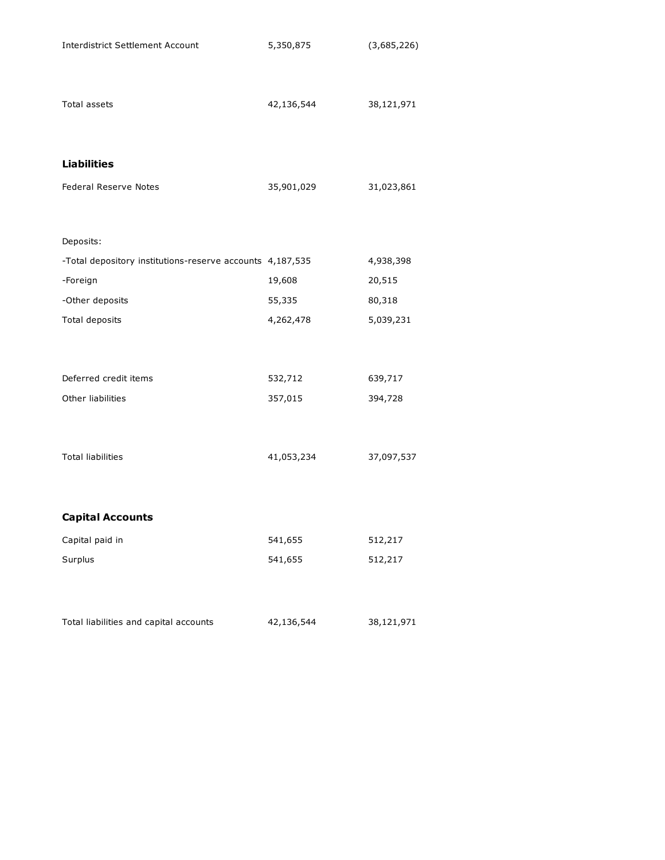| <b>Interdistrict Settlement Account</b>                   | 5,350,875  | (3,685,226) |
|-----------------------------------------------------------|------------|-------------|
| <b>Total assets</b>                                       | 42,136,544 | 38,121,971  |
| <b>Liabilities</b>                                        |            |             |
| Federal Reserve Notes                                     | 35,901,029 | 31,023,861  |
| Deposits:                                                 |            |             |
| -Total depository institutions-reserve accounts 4,187,535 |            | 4,938,398   |
| -Foreign                                                  | 19,608     | 20,515      |
| -Other deposits                                           | 55,335     | 80,318      |
| Total deposits                                            | 4,262,478  | 5,039,231   |
| Deferred credit items                                     | 532,712    | 639,717     |
| Other liabilities                                         | 357,015    | 394,728     |
| <b>Total liabilities</b>                                  | 41,053,234 | 37,097,537  |
| <b>Capital Accounts</b>                                   |            |             |
| Capital paid in                                           | 541,655    | 512,217     |
| Surplus                                                   | 541,655    | 512,217     |
| Total liabilities and capital accounts                    | 42,136,544 | 38,121,971  |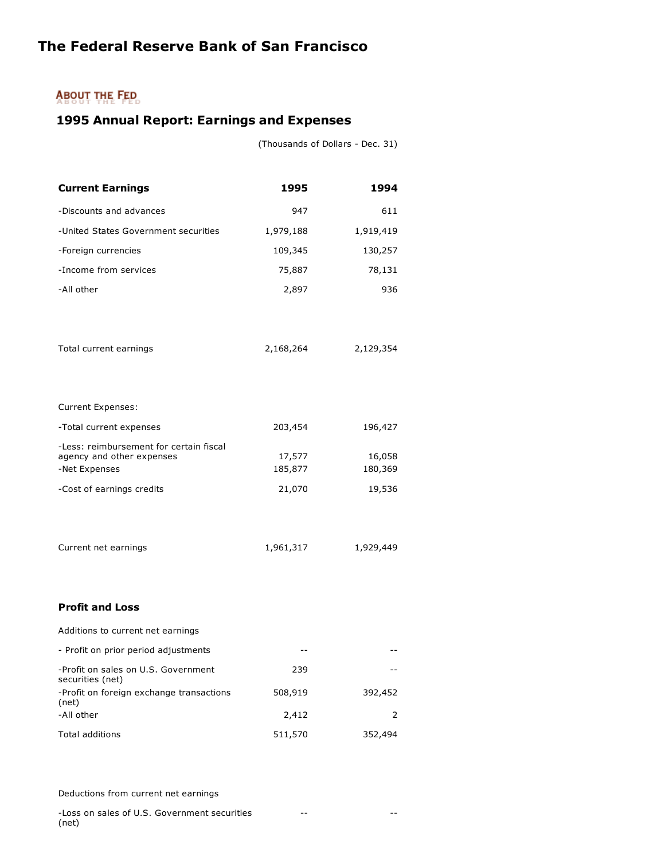### **ABOUT THE FED**

### **1995 Annual Report: Earnings and Expenses**

(Thousands of Dollars - Dec. 31)

| <b>Current Earnings</b>                                                               | 1995              | 1994              |
|---------------------------------------------------------------------------------------|-------------------|-------------------|
| -Discounts and advances                                                               | 947               | 611               |
| -United States Government securities                                                  | 1,979,188         | 1,919,419         |
| -Foreign currencies                                                                   | 109,345           | 130,257           |
| -Income from services                                                                 | 75,887            | 78,131            |
| -All other                                                                            | 2,897             | 936               |
| Total current earnings                                                                | 2,168,264         | 2,129,354         |
| <b>Current Expenses:</b>                                                              |                   |                   |
| -Total current expenses                                                               | 203,454           | 196,427           |
| -Less: reimbursement for certain fiscal<br>agency and other expenses<br>-Net Expenses | 17,577<br>185,877 | 16,058<br>180,369 |
| -Cost of earnings credits                                                             | 21,070            | 19,536            |
| Current net earnings                                                                  | 1,961,317         | 1,929,449         |
| <b>Profit and Loss</b>                                                                |                   |                   |
| Additions to current net earnings                                                     |                   |                   |
| - Profit on prior period adjustments                                                  |                   |                   |
| -Profit on sales on U.S. Government<br>securities (net)                               | 239               |                   |
| -Profit on foreign exchange transactions<br>(net)                                     | 508,919           | 392,452           |
| -All other                                                                            | 2,412             | 2                 |
| <b>Total additions</b>                                                                | 511,570           | 352,494           |

Deductions from current net earnings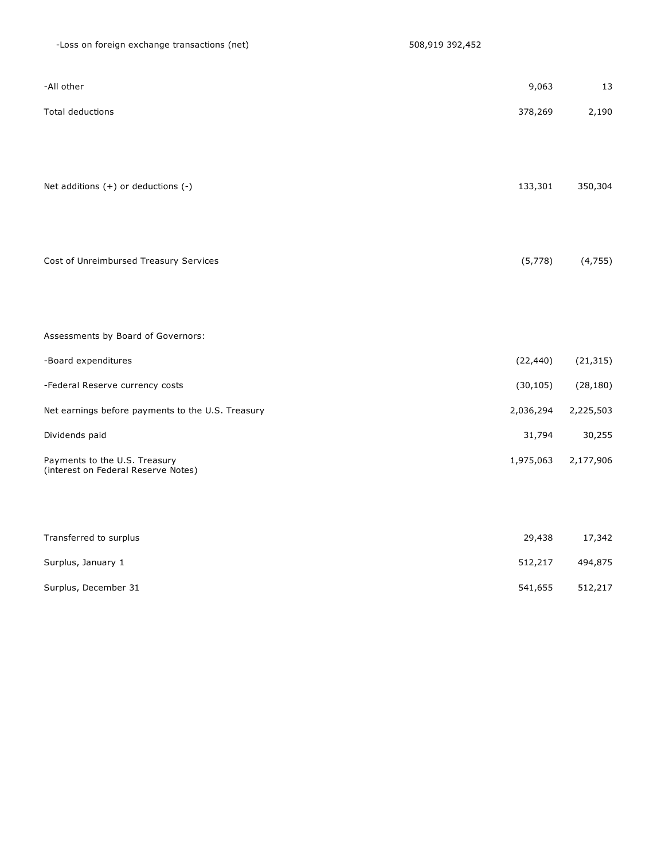| -All other                                                           | 9,063     | 13        |
|----------------------------------------------------------------------|-----------|-----------|
| Total deductions                                                     | 378,269   | 2,190     |
|                                                                      |           |           |
|                                                                      |           |           |
| Net additions $(+)$ or deductions $(-)$                              | 133,301   | 350,304   |
|                                                                      |           |           |
|                                                                      |           |           |
| Cost of Unreimbursed Treasury Services                               | (5,778)   | (4, 755)  |
|                                                                      |           |           |
| Assessments by Board of Governors:                                   |           |           |
| -Board expenditures                                                  | (22, 440) | (21, 315) |
| -Federal Reserve currency costs                                      | (30, 105) | (28, 180) |
| Net earnings before payments to the U.S. Treasury                    | 2,036,294 | 2,225,503 |
| Dividends paid                                                       | 31,794    | 30,255    |
| Payments to the U.S. Treasury<br>(interest on Federal Reserve Notes) | 1,975,063 | 2,177,906 |
|                                                                      |           |           |
|                                                                      |           |           |
| Transferred to surplus                                               | 29,438    | 17,342    |

| Surplus, January 1   | 512,217 | 494,875 |
|----------------------|---------|---------|
| Surplus, December 31 | 541,655 | 512,217 |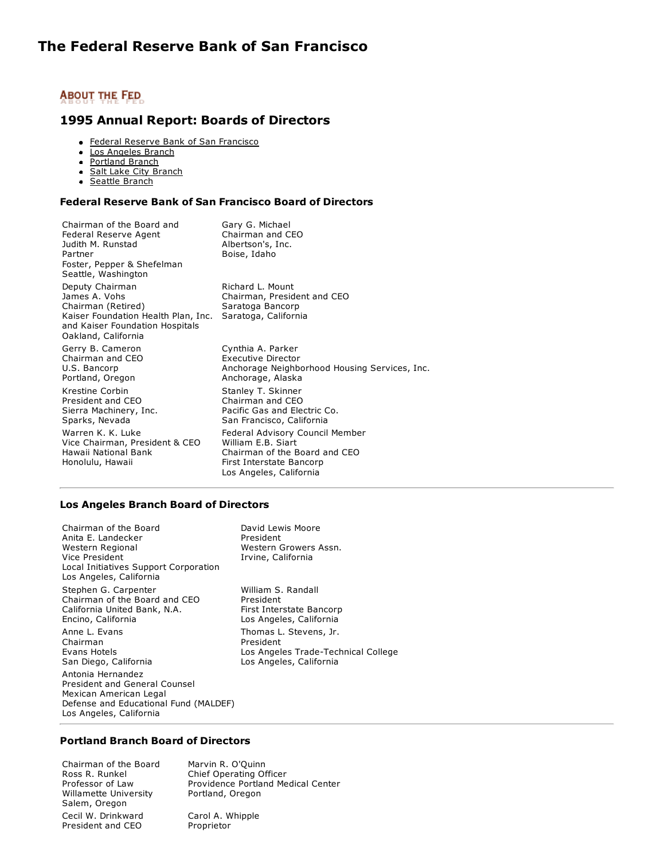#### **1995 Annual Report: Boards of Directors**

- **[Federal Reserve Bank of San Francisco](http://www.frbsf.org/publications/federalreserve/annual/1995/boards.html#A43)**
- [Los Angeles Branch](http://www.frbsf.org/publications/federalreserve/annual/1995/boards.html#A44)  $\bullet$
- [Portland Branch](http://www.frbsf.org/publications/federalreserve/annual/1995/boards.html#A45)
- [Salt Lake City Branch](http://www.frbsf.org/publications/federalreserve/annual/1995/boards.html#A46)  $\bullet$
- [Seattle Branch](http://www.frbsf.org/publications/federalreserve/annual/1995/boards.html#A47)  $\bullet$

#### **Federal Reserve Bank of San Francisco Board of Directors**

| Chairman of the Board and<br>Federal Reserve Agent<br>Judith M. Runstad<br>Partner<br>Foster, Pepper & Shefelman<br>Seattle, Washington                 | Gary G. Michael<br>Chairman and CEO<br>Albertson's, Inc.<br>Boise, Idaho                                                                      |
|---------------------------------------------------------------------------------------------------------------------------------------------------------|-----------------------------------------------------------------------------------------------------------------------------------------------|
| Deputy Chairman<br>James A. Vohs<br>Chairman (Retired)<br>Kaiser Foundation Health Plan, Inc.<br>and Kaiser Foundation Hospitals<br>Oakland, California | Richard L. Mount<br>Chairman, President and CEO<br>Saratoga Bancorp<br>Saratoga, California                                                   |
| Gerry B. Cameron<br>Chairman and CEO<br>U.S. Bancorp<br>Portland, Oregon                                                                                | Cynthia A. Parker<br>Executive Director<br>Anchorage Neighborhood Housing Services, Inc.<br>Anchorage, Alaska                                 |
| Krestine Corbin<br>President and CEO<br>Sierra Machinery, Inc.<br>Sparks, Nevada                                                                        | Stanley T. Skinner<br>Chairman and CEO<br>Pacific Gas and Electric Co.<br>San Francisco, California                                           |
| Warren K. K. Luke<br>Vice Chairman, President & CEO<br>Hawaii National Bank<br>Honolulu, Hawaii                                                         | Federal Advisory Council Member<br>William F.B. Siart<br>Chairman of the Board and CEO<br>First Interstate Bancorp<br>Los Angeles, California |
|                                                                                                                                                         |                                                                                                                                               |

#### **Los Angeles Branch Board of Directors**

Chairman of the Board Anita E. Landecker Western Regional Vice President Local Initiatives Support Corporation Los Angeles, California David Lewis Moore President Stephen G. Carpenter Chairman of the Board and CEO California United Bank, N.A. Encino, California President Anne L. Evans Chairman Evans Hotels San Diego, California President Antonia Hernandez President and General Counsel Mexican American Legal Defense and Educational Fund (MALDEF) Los Angeles, California

Western Growers Assn. Irvine, California William S. Randall First Interstate Bancorp Los Angeles, California Thomas L. Stevens, Jr. Los Angeles Trade-Technical College Los Angeles, California

#### **Portland Branch Board of Directors**

Chairman of the Board Ross R. Runkel Professor of Law Willamette University Salem, Oregon Cecil W. Drinkward President and CEO

Marvin R. O'Quinn Chief Operating Officer Providence Portland Medical Center Portland, Oregon

Carol A. Whipple Proprietor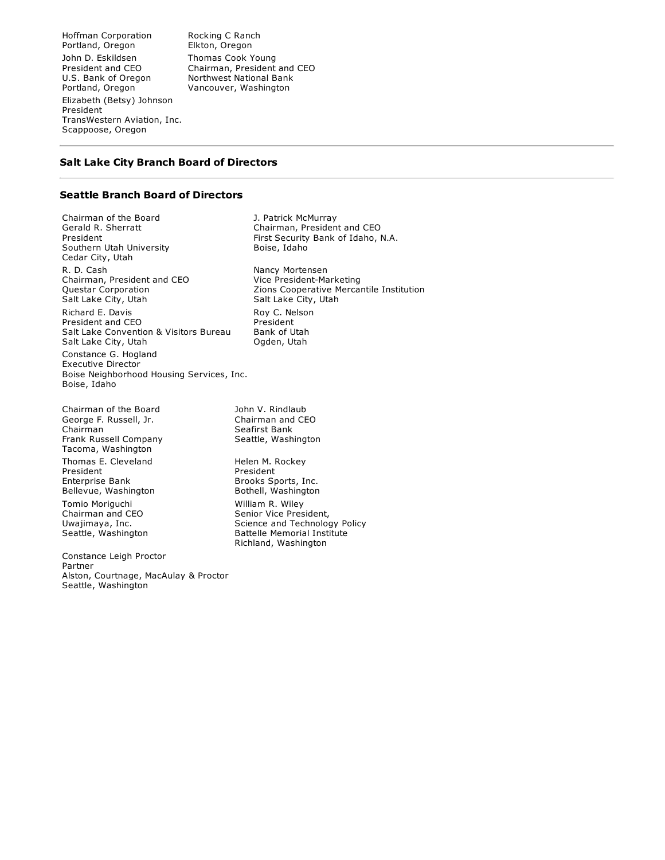Hoffman Corporation Portland, Oregon John D. Eskildsen President and CEO U.S. Bank of Oregon Portland, Oregon Elizabeth (Betsy) Johnson President TransWestern Aviation, Inc. Scappoose, Oregon

Rocking C Ranch Elkton, Oregon Thomas Cook Young Chairman, President and CEO Northwest National Bank Vancouver, Washington

#### **Salt Lake City Branch Board of Directors**

#### **Seattle Branch Board of Directors**

Chairman of the Board Gerald R. Sherratt President Southern Utah University Cedar City, Utah R. D. Cash Chairman, President and CEO Questar Corporation Salt Lake City, Utah Richard E. Davis President and CEO Salt Lake Convention & Visitors Bureau Salt Lake City, Utah Constance G. Hogland Executive Director

Boise Neighborhood Housing Services, Inc. Boise, Idaho

Chairman of the Board George F. Russell, Jr. Chairman Frank Russell Company Tacoma, Washington Thomas E. Cleveland President Enterprise Bank Bellevue, Washington Tomio Moriguchi Chairman and CEO Uwajimaya, Inc. Seattle, Washington

Constance Leigh Proctor Partner Alston, Courtnage, MacAulay & Proctor Seattle, Washington

Boise, Idaho Nancy Mortensen Vice President-Marketing Zions Cooperative Mercantile Institution Salt Lake City, Utah Roy C. Nelson President Bank of Utah Ogden, Utah

John V. Rindlaub Chairman and CEO Seafirst Bank Seattle, Washington

J. Patrick McMurray

Chairman, President and CEO First Security Bank of Idaho, N.A.

Helen M. Rockey President Brooks Sports, Inc. Bothell, Washington William R. Wiley Senior Vice President, Science and Technology Policy Battelle Memorial Institute Richland, Washington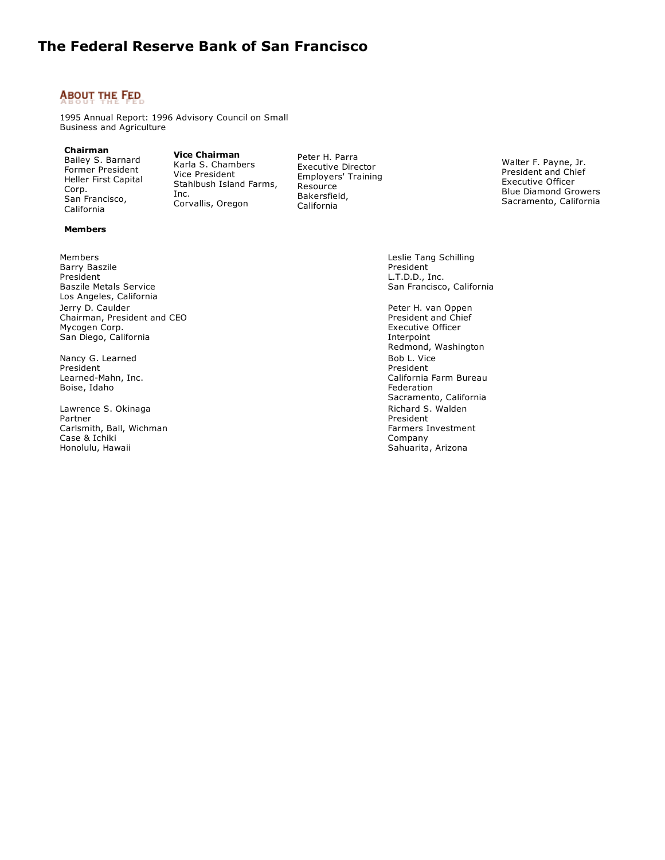### **ABOUT THE FED**

1995 Annual Report: 1996 Advisory Council on Small Business and Agriculture

#### **Chairman**

Bailey S. Barnard Former President Heller First Capital Corp. San Francisco, California

**Vice Chairman** Karla S. Chambers Vice President Stahlbush Island Farms, Inc. Corvallis, Oregon

Peter H. Parra Executive Director Employers' Training Resource Bakersfield, California

Walter F. Payne, Jr. President and Chief Executive Officer Blue Diamond Growers Sacramento, California

# **Members**

Members Barry Baszile President Baszile Metals Service Los Angeles, California Jerry D. Caulder Chairman, President and CEO Mycogen Corp. San Diego, California

Nancy G. Learned President Learned-Mahn, Inc. Boise, Idaho

Lawrence S. Okinaga Partner Carlsmith, Ball, Wichman Case & Ichiki Honolulu, Hawaii

Leslie Tang Schilling President L.T.D.D., Inc. San Francisco, California

Peter H. van Oppen President and Chief Executive Officer Interpoint Redmond, Washington Bob L. Vice President California Farm Bureau Federation Sacramento, California Richard S. Walden President Farmers Investment Company Sahuarita, Arizona